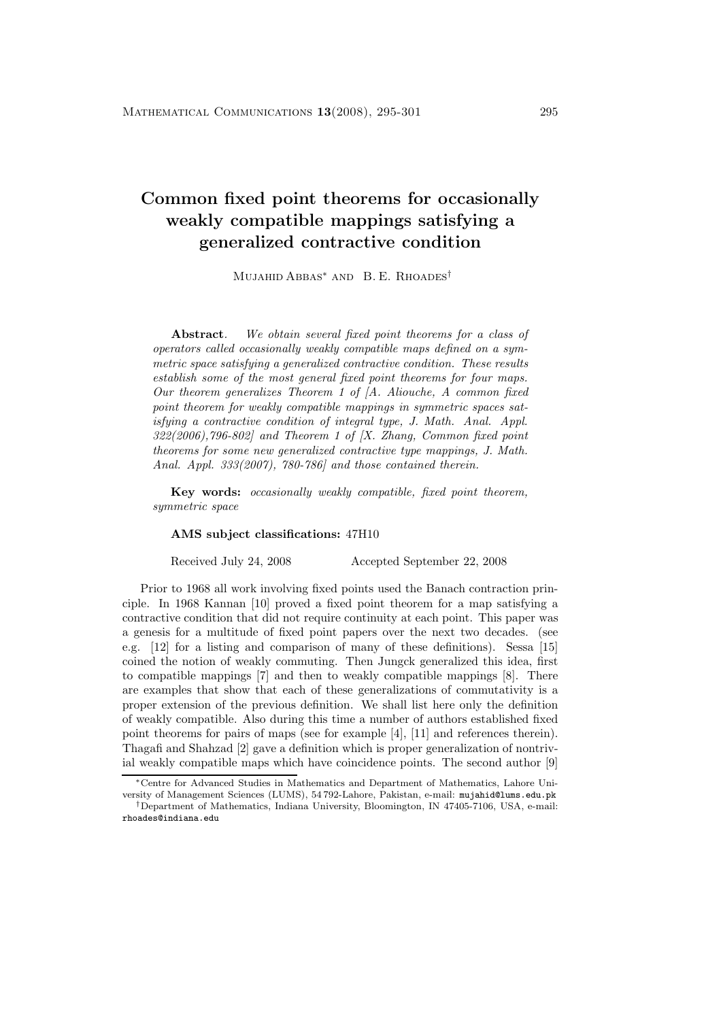## **Common fixed point theorems for occasionally weakly compatible mappings satisfying a generalized contractive condition**

Mujahid Abbas<sup>∗</sup> and B. E. Rhoades†

**Abstract***. We obtain several fixed point theorems for a class of operators called occasionally weakly compatible maps defined on a symmetric space satisfying a generalized contractive condition. These results establish some of the most general fixed point theorems for four maps. Our theorem generalizes Theorem 1 of [A. Aliouche, A common fixed point theorem for weakly compatible mappings in symmetric spaces satisfying a contractive condition of integral type, J. Math. Anal. Appl. 322(2006),796-802] and Theorem 1 of [X. Zhang, Common fixed point theorems for some new generalized contractive type mappings, J. Math. Anal. Appl. 333(2007), 780-786] and those contained therein.*

**Key words:** *occasionally weakly compatible, fixed point theorem, symmetric space*

## **AMS subject classifications:** 47H10

Received July 24, 2008 Accepted September 22, 2008

Prior to 1968 all work involving fixed points used the Banach contraction principle. In 1968 Kannan [10] proved a fixed point theorem for a map satisfying a contractive condition that did not require continuity at each point. This paper was a genesis for a multitude of fixed point papers over the next two decades. (see e.g. [12] for a listing and comparison of many of these definitions). Sessa [15] coined the notion of weakly commuting. Then Jungck generalized this idea, first to compatible mappings [7] and then to weakly compatible mappings [8]. There are examples that showthat each of these generalizations of commutativity is a proper extension of the previous definition. We shall list here only the definition of weakly compatible. Also during this time a number of authors established fixed point theorems for pairs of maps (see for example [4], [11] and references therein). Thagafi and Shahzad [2] gave a definition which is proper generalization of nontrivial weakly compatible maps which have coincidence points. The second author [9]

<sup>∗</sup>Centre for Advanced Studies in Mathematics and Department of Mathematics, Lahore University of Management Sciences (LUMS), 54 792-Lahore, Pakistan, e-mail: mujahid@lums.edu.pk

<sup>†</sup>Department of Mathematics, Indiana University, Bloomington, IN 47405-7106, USA, e-mail: rhoades@indiana.edu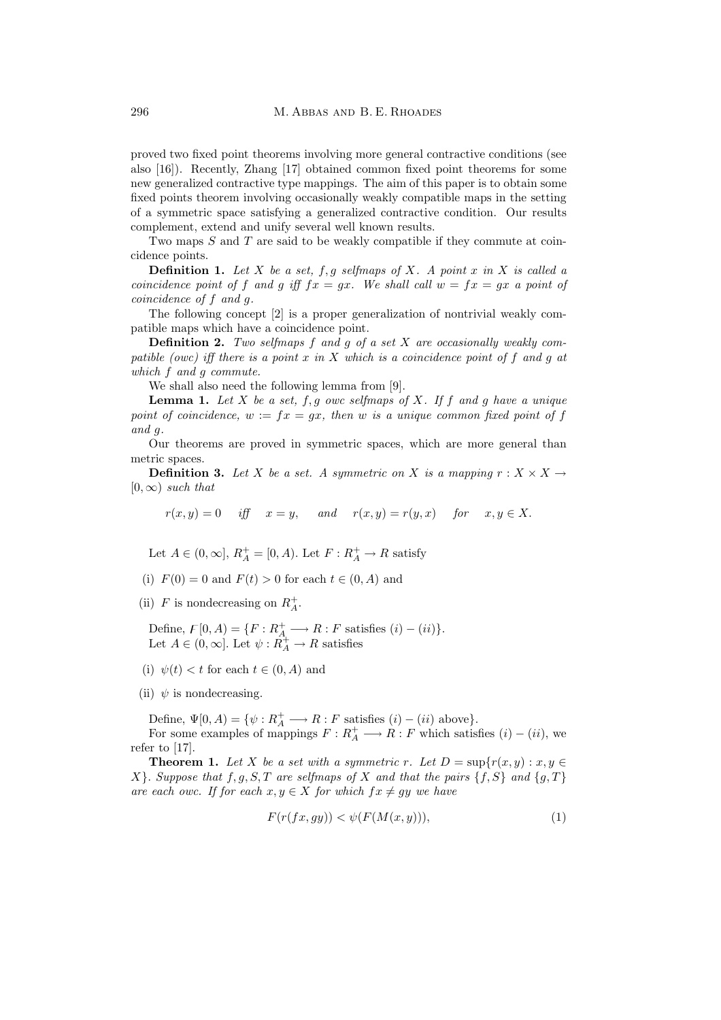proved two fixed point theorems involving more general contractive conditions (see also [16]). Recently, Zhang [17] obtained common fixed point theorems for some newgeneralized contractive type mappings. The aim of this paper is to obtain some fixed points theorem involving occasionally weakly compatible maps in the setting of a symmetric space satisfying a generalized contractive condition. Our results complement, extend and unify several well known results.

Two maps S and T are said to be weakly compatible if they commute at coincidence points.

**Definition 1.** Let X be a set,  $f, g$  selfmaps of X. A point x in X is called a *coincidence point of* f and g iff  $fx = gx$ . We shall call  $w = fx = gx$  a point of *coincidence of* f *and* g*.*

The following concept [2] is a proper generalization of nontrivial weakly compatible maps which have a coincidence point.

**Definition 2.** *Two selfmaps* f *and* g *of a set* X *are occasionally weakly compatible (owc) iff there is a point* x *in* X *which is a coincidence point of* f *and* g *at which* f *and* g *commute.*

We shall also need the following lemma from [9].

**Lemma 1.** Let  $X$  be a set,  $f, g$  *owc selfmaps of*  $X$ *. If*  $f$  *and*  $g$  *have* a unique *point of coincidence,*  $w := fx = gx$ , then w *is a unique common fixed point of f and* g*.*

Our theorems are proved in symmetric spaces, which are more general than metric spaces.

**Definition 3.** Let X be a set. A symmetric on X is a mapping  $r : X \times X \rightarrow$  $[0, \infty)$  *such that* 

 $r(x, y) = 0$  *iff*  $x = y$ , and  $r(x, y) = r(y, x)$  for  $x, y \in X$ .

Let  $A \in (0, \infty], R_A^+ = [0, A)$ . Let  $F: R_A^+ \to R$  satisfy

- (i)  $F(0) = 0$  and  $F(t) > 0$  for each  $t \in (0, A)$  and
- (ii)  $F$  is nondecreasing on  $R_A^+$ .

Define,  $F[0, A) = \{F : R_A^+ \longrightarrow R : F \text{ satisfies } (i) - (ii)\}.$ Let  $A \in (0, \infty]$ . Let  $\psi : \hat{R}^+_{A} \to R$  satisfies

- (i)  $\psi(t) < t$  for each  $t \in (0, A)$  and
- (ii)  $\psi$  is nondecreasing.

Define,  $\Psi[0, A) = \{ \psi : R_A^+ \longrightarrow R : F \text{ satisfies } (i) - (ii) \text{ above} \}.$ For some examples of mappings  $F: R_A^+ \longrightarrow R: F$  which satisfies  $(i) - (ii)$ , we refer to [17].

**Theorem 1.** Let X be a set with a symmetric r. Let  $D = \sup\{r(x, y) : x, y \in$  $X$ . *Suppose that*  $f, g, S, T$  *are selfmaps of* X *and that the pairs*  $\{f, S\}$  *and*  $\{g, T\}$ *are each owc. If for each*  $x, y \in X$  *for which*  $fx \neq gy$  *we have* 

$$
F(r(fx, gy)) < \psi(F(M(x, y))),
$$
\n<sup>(1)</sup>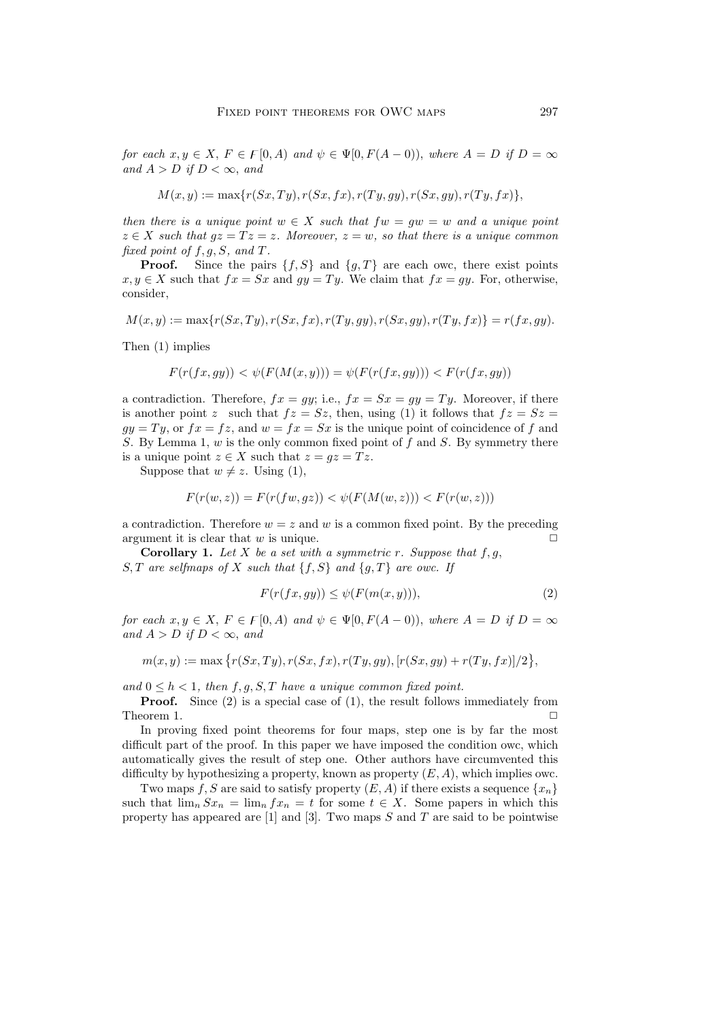*for each*  $x, y \in X$ ,  $F \in F[0, A)$  *and*  $\psi \in \Psi[0, F(A-0))$ , *where*  $A = D$  *if*  $D = \infty$ *and*  $A > D$  *if*  $D < \infty$ *, and* 

$$
M(x, y) := \max\{r(Sx, Ty), r(Sx, fx), r(Ty, gy), r(Sx, gy), r(Ty, fx)\},\
$$

*then there is a unique point*  $w \in X$  *such that*  $fw = gw = w$  *and a unique point*  $z \in X$  *such that*  $gz = Tz = z$ *. Moreover,*  $z = w$ *, so that there is a unique common fixed point of*  $f, g, S$ *, and*  $T$ *.* 

**Proof.** Since the pairs  $\{f, S\}$  and  $\{g, T\}$  are each owc, there exist points  $x, y \in X$  such that  $fx = Sx$  and  $gy = Ty$ . We claim that  $fx = gy$ . For, otherwise, consider,

$$
M(x, y) := \max\{r(Sx, Ty), r(Sx, fx), r(Ty, gy), r(Sx, gy), r(Ty, fx)\} = r(fx, gy).
$$

Then (1) implies

$$
F(r(fx,gy)) < \psi(F(M(x,y))) = \psi(F(r(fx,gy))) < F(r(fx,gy))
$$

a contradiction. Therefore,  $fx = gy$ ; i.e.,  $fx = Sx = gy = Ty$ . Moreover, if there is another point z such that  $fz = Sz$ , then, using (1) it follows that  $fz = Sz$  $gy = Ty$ , or  $fx = fz$ , and  $w = fx = Sx$  is the unique point of coincidence of f and S. By Lemma 1,  $w$  is the only common fixed point of f and S. By symmetry there is a unique point  $z \in X$  such that  $z = gz = Tz$ .

Suppose that  $w \neq z$ . Using (1),

$$
F(r(w, z)) = F(r(fw, gz)) < \psi(F(M(w, z))) < F(r(w, z)))
$$

a contradiction. Therefore  $w = z$  and w is a common fixed point. By the preceding argument it is clear that  $w$  is unique.  $\Box$ 

**Corollary 1.** Let X be a set with a symmetric r. Suppose that  $f, g$ , S, T are selfmaps of X such that  $\{f, S\}$  and  $\{g, T\}$  are owc. If

$$
F(r(fx, gy)) \le \psi(F(m(x, y))),\tag{2}
$$

*for each*  $x, y \in X$ ,  $F \in F[0, A)$  *and*  $\psi \in \Psi[0, F(A-0))$ , *where*  $A = D$  *if*  $D = \infty$ *and*  $A > D$  *if*  $D < \infty$ *, and* 

$$
m(x,y) := \max \{r(Sx,Ty), r(Sx,fx), r(Ty,gy), [r(Sx,gy) + r(Ty,fx)]/2\},\
$$

and  $0 \leq h \leq 1$ , then f, q, S, T have a unique common fixed point.

**Proof.** Since (2) is a special case of (1), the result follows immediately from Theorem 1.  $\Box$ 

In proving fixed point theorems for four maps, step one is by far the most difficult part of the proof. In this paper we have imposed the condition owc, which automatically gives the result of step one. Other authors have circumvented this difficulty by hypothesizing a property, known as property  $(E, A)$ , which implies owc.

Two maps f, S are said to satisfy property  $(E, A)$  if there exists a sequence  $\{x_n\}$ such that  $\lim_{n} Sx_n = \lim_{n} fx_n = t$  for some  $t \in X$ . Some papers in which this property has appeared are  $[1]$  and  $[3]$ . Two maps S and T are said to be pointwise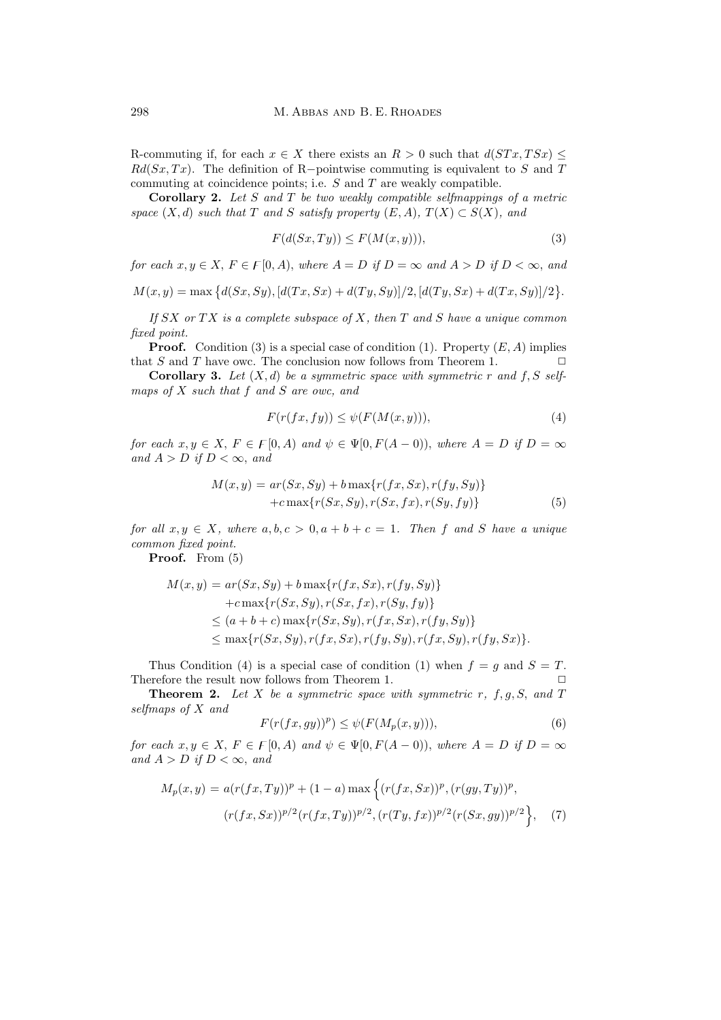R-commuting if, for each  $x \in X$  there exists an  $R > 0$  such that  $d(STx, TSx)$  $Rd(Sx, Tx)$ . The definition of R-pointwise commuting is equivalent to S and T commuting at coincidence points; i.e. S and T are weakly compatible.

**Corollary 2.** *Let* S *and* T *be two weakly compatible selfmappings of a metric space*  $(X, d)$  *such that* T *and* S *satisfy property*  $(E, A)$ *,*  $T(X) \subset S(X)$ *, and* 

$$
F(d(Sx, Ty)) \le F(M(x, y))),\tag{3}
$$

*for each*  $x, y \in X$ ,  $F \in F[0, A)$ , where  $A = D$  *if*  $D = \infty$  *and*  $A > D$  *if*  $D < \infty$ , *and* 

 $M(x, y) = \max \{d(Sx, Sy), [d(Tx, Sx) + d(Ty, Sy)]/2, [d(Ty, Sx) + d(Tx, Sy)]/2\}.$ 

*If* SX *or* T X *is a complete subspace of* X*, then* T *and* S *have a unique common fixed point.*

**Proof.** Condition (3) is a special case of condition (1). Property  $(E, A)$  implies that S and T have owc. The conclusion now follows from Theorem 1.  $\Box$ 

**Corollary 3.** Let  $(X, d)$  be a symmetric space with symmetric r and f, S self*maps of* X *such that* f *and* S *are owc, and*

$$
F(r(fx, fy)) \le \psi(F(M(x, y))),\tag{4}
$$

*for each*  $x, y \in X$ ,  $F \in F[0, A)$  *and*  $\psi \in \Psi[0, F(A-0))$ , *where*  $A = D$  *if*  $D = \infty$ *and*  $A > D$  *if*  $D < \infty$ *, and* 

$$
M(x,y) = ar(Sx, Sy) + b \max\{r(fx, Sx), r(fy, Sy)\}
$$

$$
+ c \max\{r(Sx, Sy), r(Sx, fx), r(Sy, fy)\}
$$
(5)

*for all*  $x, y \in X$ *, where*  $a, b, c > 0, a + b + c = 1$ *. Then* f and S have a unique *common fixed point.*

**Proof.** From (5)

$$
M(x, y) = ar(Sx, Sy) + b \max\{r(fx, Sx), r(fy, Sy)\}+ c \max\{r(Sx, Sy), r(Sx, fx), r(Sy, fy)\}\le (a + b + c) \max\{r(Sx, Sy), r(fx, Sx), r(fy, Sy)\}\le \max\{r(Sx, Sy), r(fx, Sx), r(fy, Sy), r(fx, Sy), r(fy, Sx)\}.
$$

Thus Condition (4) is a special case of condition (1) when  $f = g$  and  $S = T$ . Therefore the result now follows from Theorem 1.

**Theorem 2.** Let X be a symmetric space with symmetric  $r$ ,  $f$ ,  $g$ ,  $S$ , and  $T$ *selfmaps of* X *and*

$$
F(r(fx,gy))^p) \le \psi(F(M_p(x,y))),\tag{6}
$$

*for each*  $x, y \in X$ ,  $F \in F[0, A)$  *and*  $\psi \in \Psi[0, F(A-0))$ , *where*  $A = D$  *if*  $D = \infty$ *and*  $A > D$  *if*  $D < \infty$ *, and* 

$$
M_p(x,y) = a(r(fx,Ty))^p + (1-a)\max\left\{(r(fx,Sx))^p, (r(gy,Ty))^p, (r(gy,Ty))^p, (r(fx,Sx))^{p/2}(r(fx,Ty))^{p/2}, (r(Ty,fx))^{p/2}(r(Sx,gy))^{p/2}\right\},
$$
 (7)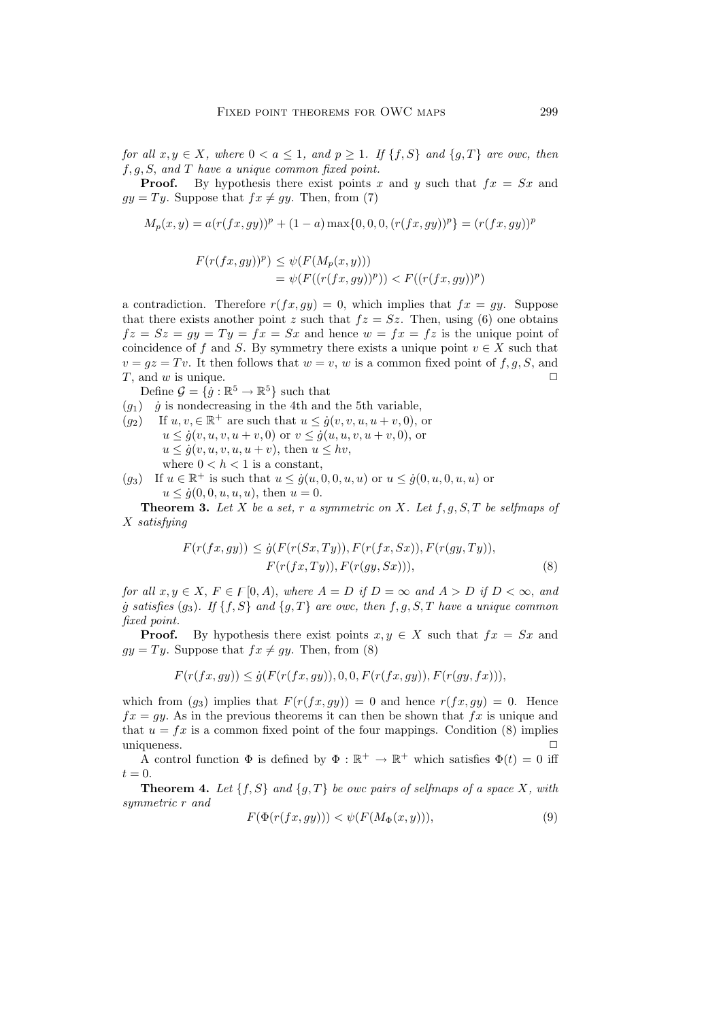*for all*  $x, y \in X$ *, where*  $0 < a \leq 1$ *, and*  $p \geq 1$ *. If*  $\{f, S\}$  *and*  $\{g, T\}$  *are owc, then* f, g, S, *and* T *have a unique common fixed point.*

**Proof.** By hypothesis there exist points x and y such that  $fx = Sx$  and  $gy = Ty$ . Suppose that  $fx \neq gy$ . Then, from (7)

$$
M_p(x, y) = a(r(fx, gy))^p + (1 - a) \max\{0, 0, 0, (r(fx, gy))^p\} = (r(fx, gy))^p
$$

$$
F(r(fx, gy))^p) \leq \psi(F(M_p(x, y)))
$$
  
=  $\psi(F((r(fx, gy))^p)) < F((r(fx, gy))^p)$ 

a contradiction. Therefore  $r(fx, gy) = 0$ , which implies that  $fx = gy$ . Suppose that there exists another point z such that  $fz = Sz$ . Then, using (6) one obtains  $fz = Sz = gy = Ty = fx = Sx$  and hence  $w = fx = fz$  is the unique point of coincidence of f and S. By symmetry there exists a unique point  $v \in X$  such that  $v = gz = Tv$ . It then follows that  $w = v$ , w is a common fixed point of f, g, S, and T, and w is unique.  $\Box$ 

Define  $\mathcal{G} = \{\dot{g} : \mathbb{R}^5 \to \mathbb{R}^5\}$  such that

- $(q_1)$  *q* is nondecreasing in the 4th and the 5th variable,
- $(q_2)$  If  $u, v \in \mathbb{R}^+$  are such that  $u \leq \dot{q}(v, v, u, u + v, 0)$ , or  $u \le \dot{g}(v, u, v, u + v, 0)$  or  $v \le \dot{g}(u, u, v, u + v, 0)$ , or  $u \le \dot{g}(v, u, v, u, u + v)$ , then  $u \le hv$ , where  $0 < h < 1$  is a constant,
- $(q_3)$  If  $u \in \mathbb{R}^+$  is such that  $u \leq \dot{q}(u, 0, 0, u, u)$  or  $u \leq \dot{q}(0, u, 0, u, u)$  or  $u \leq \dot{g}(0, 0, u, u, u)$ , then  $u = 0$ .

**Theorem 3.** *Let* X *be a set,* r *a symmetric on* X*. Let* f, g, S, T *be selfmaps of* X *satisfying*

$$
F(r(fx, gy)) \leq \dot{g}(F(r(Sx, Ty)), F(r(fx, Sx)), F(r(gy, Ty)),
$$

$$
F(r(fx, Ty)), F(r(gy, Sx))),
$$
\n(8)

*for all*  $x, y \in X, F \in F[0, A)$ , *where*  $A = D$  *if*  $D = \infty$  *and*  $A > D$  *if*  $D < \infty$ , *and*  $\dot{g}$  *satisfies* (g<sub>3</sub>). If {f, S} and {g, T} are owc, then f, g, S, T have a unique common *fixed point.*

**Proof.** By hypothesis there exist points  $x, y \in X$  such that  $fx = Sx$  and  $gy = Ty$ . Suppose that  $fx \neq gy$ . Then, from (8)

$$
F(r(fx, gy)) \leq \dot{g}(F(r(fx, gy)), 0, 0, F(r(fx, gy)), F(r(gy, fx))),
$$

which from  $(g_3)$  implies that  $F(r(fx, gy)) = 0$  and hence  $r(fx, gy) = 0$ . Hence  $fx = gy$ . As in the previous theorems it can then be shown that  $fx$  is unique and that  $u = fx$  is a common fixed point of the four mappings. Condition (8) implies uniqueness.  $\Box$ 

A control function  $\Phi$  is defined by  $\Phi : \mathbb{R}^+ \to \mathbb{R}^+$  which satisfies  $\Phi(t) = 0$  iff  $t = 0.$ 

**Theorem 4.** Let  $\{f, S\}$  and  $\{g, T\}$  be owc pairs of selfmaps of a space X, with *symmetric* r *and*

$$
F(\Phi(r(fx, gy))) < \psi(F(M_{\Phi}(x, y))), \qquad (9)
$$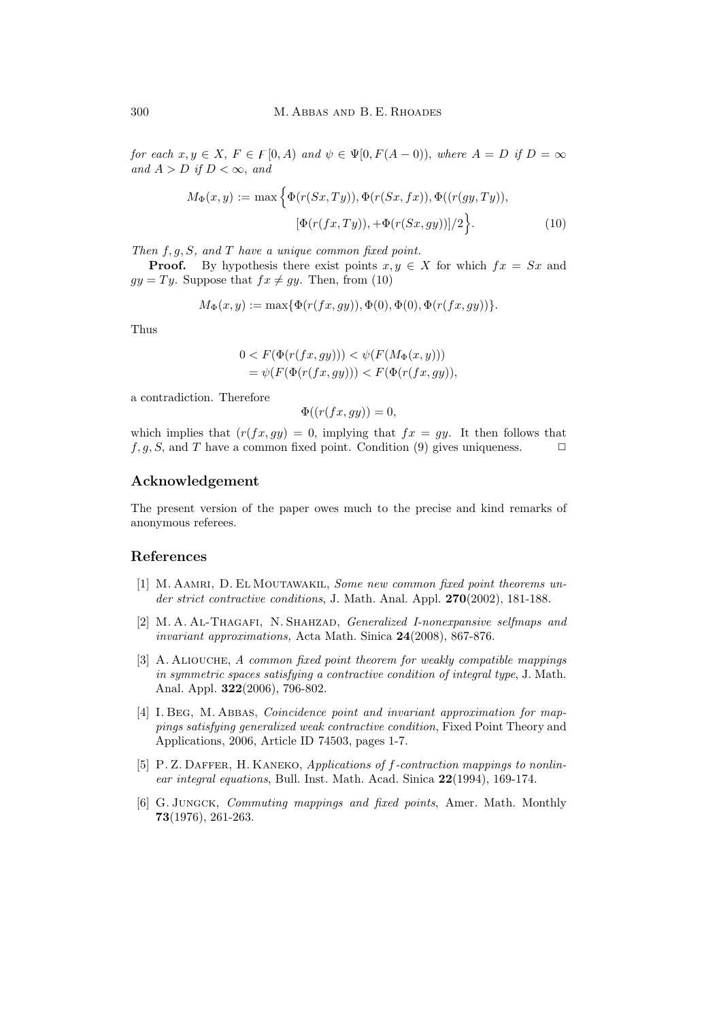*for each*  $x, y \in X$ ,  $F \in F[0, A)$  *and*  $\psi \in \Psi[0, F(A-0))$ , *where*  $A = D$  *if*  $D = \infty$ *and*  $A > D$  *if*  $D < \infty$ *, and* 

$$
M_{\Phi}(x,y) := \max\left\{\Phi(r(Sx,Ty)), \Phi(r(Sx,fx)), \Phi((r(gy,Ty)),[\Phi(r(fx,Ty)),+\Phi(r(Sx,gy))]/2\right\}.
$$
 (10)

*Then* f, g, S*, and* T *have a unique common fixed point.*

**Proof.** By hypothesis there exist points  $x, y \in X$  for which  $fx = Sx$  and  $gy = Ty$ . Suppose that  $fx \neq gy$ . Then, from (10)

$$
M_{\Phi}(x, y) := \max{\{\Phi(r(fx, gy)), \Phi(0), \Phi(0), \Phi(r(fx, gy))\}}.
$$

Thus

$$
0 < F(\Phi(r(fx, gy))) < \psi(F(M_{\Phi}(x, y))) \\
= \psi(F(\Phi(r(fx, gy))) < F(\Phi(r(fx, gy)),
$$

a contradiction. Therefore

$$
\Phi((r(fx, gy)) = 0,
$$

which implies that  $(r(fx, gy)=0,$  implying that  $fx = gy$ . It then follows that  $f, g, S$ , and T have a common fixed point. Condition (9) gives uniqueness.  $\Box$ 

## **Acknowledgement**

The present version of the paper owes much to the precise and kind remarks of anonymous referees.

## **References**

- [1] M. AAMRI, D. EL MOUTAWAKIL, *Some new common fixed point theorems under strict contractive conditions*, J. Math. Anal. Appl. **270**(2002), 181-188.
- [2] M. A. Al-Thagafi, N. Shahzad, *Generalized I-nonexpansive selfmaps and invariant approximations,* Acta Math. Sinica **24**(2008), 867-876.
- [3] A. Aliouche, *A common fixed point theorem for weakly compatible mappings in symmetric spaces satisfying a contractive condition of integral type*, J. Math. Anal. Appl. **322**(2006), 796-802.
- [4] I. Beg, M. Abbas, *Coincidence point and invariant approximation for mappings satisfying generalized weak contractive condition*, Fixed Point Theory and Applications, 2006, Article ID 74503, pages 1-7.
- [5] P. Z. Daffer, H. Kaneko, *Applications of* f*-contraction mappings to nonlinear integral equations*, Bull. Inst. Math. Acad. Sinica **22**(1994), 169-174.
- [6] G. Jungck, *Commuting mappings and fixed points*, Amer. Math. Monthly **73**(1976), 261-263.